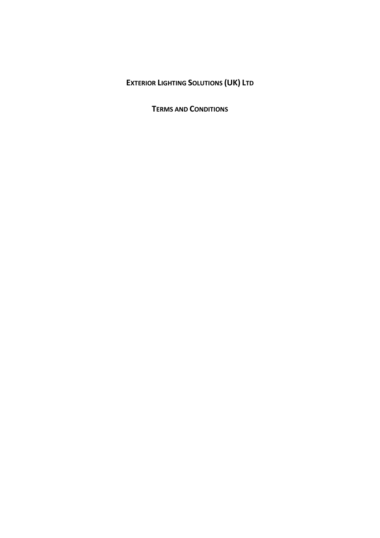# **EXTERIOR LIGHTING SOLUTIONS (UK) LTD**

**TERMS AND CONDITIONS**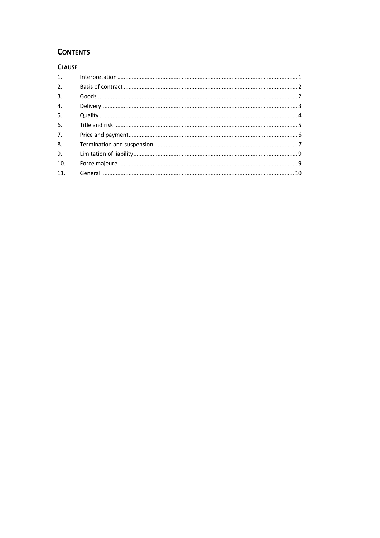# **CONTENTS**

# **CLAUSE**

| 1.               |  |
|------------------|--|
| 2.               |  |
| 3.               |  |
| $\overline{4}$ . |  |
| 5.               |  |
| 6.               |  |
| 7.               |  |
| 8.               |  |
| 9.               |  |
| 10.              |  |
| 11.              |  |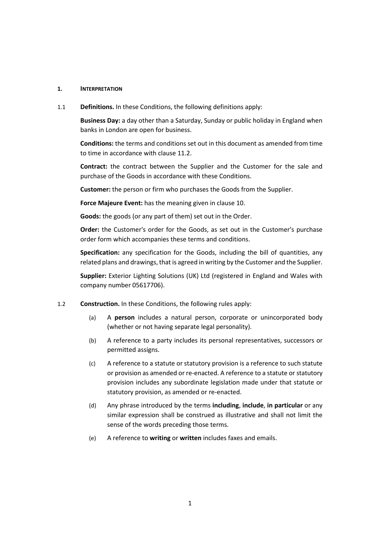#### **1. INTERPRETATION**

1.1 **Definitions.** In these Conditions, the following definitions apply:

**Business Day:** a day other than a Saturday, Sunday or public holiday in England when banks in London are open for business.

**Conditions:** the terms and conditions set out in this document as amended from time to time in accordance with clause 11.2.

**Contract:** the contract between the Supplier and the Customer for the sale and purchase of the Goods in accordance with these Conditions.

**Customer:** the person or firm who purchases the Goods from the Supplier.

**Force Majeure Event:** has the meaning given in clause 10.

**Goods:** the goods (or any part of them) set out in the Order.

**Order:** the Customer's order for the Goods, as set out in the Customer's purchase order form which accompanies these terms and conditions.

**Specification:** any specification for the Goods, including the bill of quantities, any related plans and drawings, that is agreed in writing by the Customer and the Supplier.

**Supplier:** Exterior Lighting Solutions (UK) Ltd (registered in England and Wales with company number 05617706).

- 1.2 **Construction.** In these Conditions, the following rules apply:
	- (a) A **person** includes a natural person, corporate or unincorporated body (whether or not having separate legal personality).
	- (b) A reference to a party includes its personal representatives, successors or permitted assigns.
	- (c) A reference to a statute or statutory provision is a reference to such statute or provision as amended or re-enacted. A reference to a statute or statutory provision includes any subordinate legislation made under that statute or statutory provision, as amended or re-enacted.
	- (d) Any phrase introduced by the terms **including**, **include**, **in particular** or any similar expression shall be construed as illustrative and shall not limit the sense of the words preceding those terms.
	- (e) A reference to **writing** or **written** includes faxes and emails.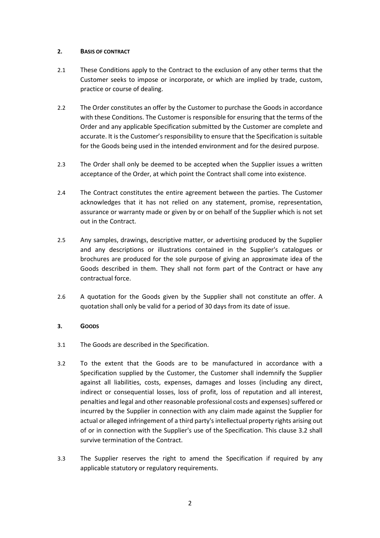#### **2. BASIS OF CONTRACT**

- 2.1 These Conditions apply to the Contract to the exclusion of any other terms that the Customer seeks to impose or incorporate, or which are implied by trade, custom, practice or course of dealing.
- 2.2 The Order constitutes an offer by the Customer to purchase the Goods in accordance with these Conditions. The Customer is responsible for ensuring that the terms of the Order and any applicable Specification submitted by the Customer are complete and accurate. It is the Customer's responsibility to ensure that the Specification is suitable for the Goods being used in the intended environment and for the desired purpose.
- 2.3 The Order shall only be deemed to be accepted when the Supplier issues a written acceptance of the Order, at which point the Contract shall come into existence.
- 2.4 The Contract constitutes the entire agreement between the parties. The Customer acknowledges that it has not relied on any statement, promise, representation, assurance or warranty made or given by or on behalf of the Supplier which is not set out in the Contract.
- 2.5 Any samples, drawings, descriptive matter, or advertising produced by the Supplier and any descriptions or illustrations contained in the Supplier's catalogues or brochures are produced for the sole purpose of giving an approximate idea of the Goods described in them. They shall not form part of the Contract or have any contractual force.
- 2.6 A quotation for the Goods given by the Supplier shall not constitute an offer. A quotation shall only be valid for a period of 30 days from its date of issue.

#### **3. GOODS**

- 3.1 The Goods are described in the Specification.
- 3.2 To the extent that the Goods are to be manufactured in accordance with a Specification supplied by the Customer, the Customer shall indemnify the Supplier against all liabilities, costs, expenses, damages and losses (including any direct, indirect or consequential losses, loss of profit, loss of reputation and all interest, penalties and legal and other reasonable professional costs and expenses) suffered or incurred by the Supplier in connection with any claim made against the Supplier for actual or alleged infringement of a third party's intellectual property rights arising out of or in connection with the Supplier's use of the Specification. This clause 3.2 shall survive termination of the Contract.
- 3.3 The Supplier reserves the right to amend the Specification if required by any applicable statutory or regulatory requirements.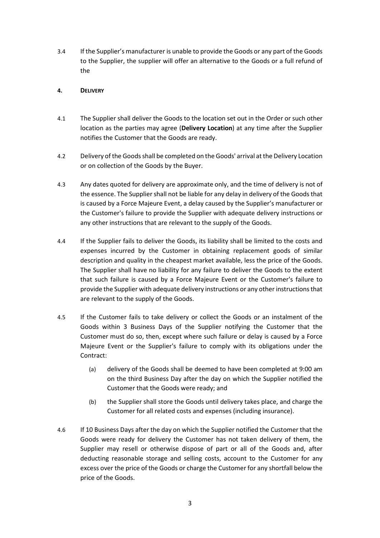3.4 If the Supplier's manufacturer is unable to provide the Goods or any part of the Goods to the Supplier, the supplier will offer an alternative to the Goods or a full refund of the

#### **4. DELIVERY**

- 4.1 The Supplier shall deliver the Goods to the location set out in the Order or such other location as the parties may agree (**Delivery Location**) at any time after the Supplier notifies the Customer that the Goods are ready.
- 4.2 Delivery of the Goods shall be completed on the Goods' arrival at the Delivery Location or on collection of the Goods by the Buyer.
- 4.3 Any dates quoted for delivery are approximate only, and the time of delivery is not of the essence. The Supplier shall not be liable for any delay in delivery of the Goods that is caused by a Force Majeure Event, a delay caused by the Supplier's manufacturer or the Customer's failure to provide the Supplier with adequate delivery instructions or any other instructions that are relevant to the supply of the Goods.
- 4.4 If the Supplier fails to deliver the Goods, its liability shall be limited to the costs and expenses incurred by the Customer in obtaining replacement goods of similar description and quality in the cheapest market available, less the price of the Goods. The Supplier shall have no liability for any failure to deliver the Goods to the extent that such failure is caused by a Force Majeure Event or the Customer's failure to provide the Supplier with adequate delivery instructions or any other instructions that are relevant to the supply of the Goods.
- 4.5 If the Customer fails to take delivery or collect the Goods or an instalment of the Goods within 3 Business Days of the Supplier notifying the Customer that the Customer must do so, then, except where such failure or delay is caused by a Force Majeure Event or the Supplier's failure to comply with its obligations under the Contract:
	- (a) delivery of the Goods shall be deemed to have been completed at 9:00 am on the third Business Day after the day on which the Supplier notified the Customer that the Goods were ready; and
	- (b) the Supplier shall store the Goods until delivery takes place, and charge the Customer for all related costs and expenses (including insurance).
- 4.6 If 10 Business Days after the day on which the Supplier notified the Customer that the Goods were ready for delivery the Customer has not taken delivery of them, the Supplier may resell or otherwise dispose of part or all of the Goods and, after deducting reasonable storage and selling costs, account to the Customer for any excess over the price of the Goods or charge the Customer for any shortfall below the price of the Goods.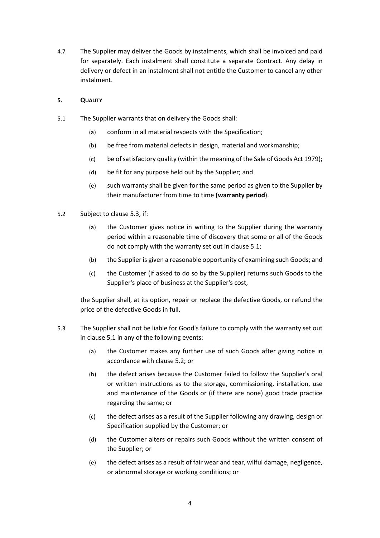4.7 The Supplier may deliver the Goods by instalments, which shall be invoiced and paid for separately. Each instalment shall constitute a separate Contract. Any delay in delivery or defect in an instalment shall not entitle the Customer to cancel any other instalment.

## **5. QUALITY**

- 5.1 The Supplier warrants that on delivery the Goods shall:
	- (a) conform in all material respects with the Specification;
	- (b) be free from material defects in design, material and workmanship;
	- (c) be of satisfactory quality (within the meaning of the Sale of Goods Act 1979);
	- (d) be fit for any purpose held out by the Supplier; and
	- (e) such warranty shall be given for the same period as given to the Supplier by their manufacturer from time to time **(warranty period**).
- 5.2 Subject to clause 5.3, if:
	- (a) the Customer gives notice in writing to the Supplier during the warranty period within a reasonable time of discovery that some or all of the Goods do not comply with the warranty set out in clause 5.1;
	- (b) the Supplier is given a reasonable opportunity of examining such Goods; and
	- (c) the Customer (if asked to do so by the Supplier) returns such Goods to the Supplier's place of business at the Supplier's cost,

the Supplier shall, at its option, repair or replace the defective Goods, or refund the price of the defective Goods in full.

- 5.3 The Supplier shall not be liable for Good's failure to comply with the warranty set out in clause 5.1 in any of the following events:
	- (a) the Customer makes any further use of such Goods after giving notice in accordance with clause 5.2; or
	- (b) the defect arises because the Customer failed to follow the Supplier's oral or written instructions as to the storage, commissioning, installation, use and maintenance of the Goods or (if there are none) good trade practice regarding the same; or
	- (c) the defect arises as a result of the Supplier following any drawing, design or Specification supplied by the Customer; or
	- (d) the Customer alters or repairs such Goods without the written consent of the Supplier; or
	- (e) the defect arises as a result of fair wear and tear, wilful damage, negligence, or abnormal storage or working conditions; or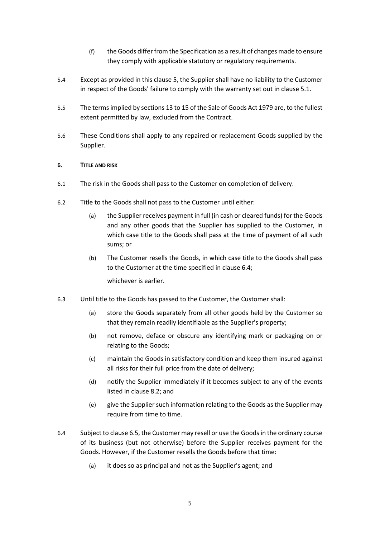- (f) the Goods differ from the Specification as a result of changes made to ensure they comply with applicable statutory or regulatory requirements.
- 5.4 Except as provided in this clause 5, the Supplier shall have no liability to the Customer in respect of the Goods' failure to comply with the warranty set out in clause 5.1.
- 5.5 The terms implied by sections 13 to 15 of the Sale of Goods Act 1979 are, to the fullest extent permitted by law, excluded from the Contract.
- 5.6 These Conditions shall apply to any repaired or replacement Goods supplied by the Supplier.

#### **6. TITLE AND RISK**

- 6.1 The risk in the Goods shall pass to the Customer on completion of delivery.
- 6.2 Title to the Goods shall not pass to the Customer until either:
	- (a) the Supplier receives payment in full (in cash or cleared funds) for the Goods and any other goods that the Supplier has supplied to the Customer, in which case title to the Goods shall pass at the time of payment of all such sums; or
	- (b) The Customer resells the Goods, in which case title to the Goods shall pass to the Customer at the time specified in clause 6.4;

whichever is earlier.

- 6.3 Until title to the Goods has passed to the Customer, the Customer shall:
	- (a) store the Goods separately from all other goods held by the Customer so that they remain readily identifiable as the Supplier's property;
	- (b) not remove, deface or obscure any identifying mark or packaging on or relating to the Goods;
	- (c) maintain the Goods in satisfactory condition and keep them insured against all risks for their full price from the date of delivery;
	- (d) notify the Supplier immediately if it becomes subject to any of the events listed in clause 8.2; and
	- (e) give the Supplier such information relating to the Goods as the Supplier may require from time to time.
- 6.4 Subject to clause 6.5, the Customer may resell or use the Goods in the ordinary course of its business (but not otherwise) before the Supplier receives payment for the Goods. However, if the Customer resells the Goods before that time:
	- (a) it does so as principal and not as the Supplier's agent; and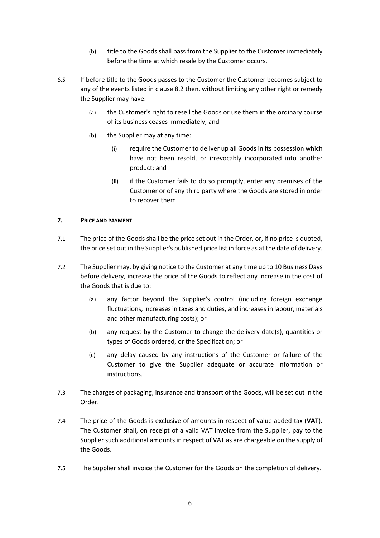- (b) title to the Goods shall pass from the Supplier to the Customer immediately before the time at which resale by the Customer occurs.
- 6.5 If before title to the Goods passes to the Customer the Customer becomes subject to any of the events listed in clause 8.2 then, without limiting any other right or remedy the Supplier may have:
	- (a) the Customer's right to resell the Goods or use them in the ordinary course of its business ceases immediately; and
	- (b) the Supplier may at any time:
		- (i) require the Customer to deliver up all Goods in its possession which have not been resold, or irrevocably incorporated into another product; and
		- (ii) if the Customer fails to do so promptly, enter any premises of the Customer or of any third party where the Goods are stored in order to recover them.

#### **7. PRICE AND PAYMENT**

- 7.1 The price of the Goods shall be the price set out in the Order, or, if no price is quoted, the price set out in the Supplier's published price list in force as at the date of delivery.
- 7.2 The Supplier may, by giving notice to the Customer at any time up to 10 Business Days before delivery, increase the price of the Goods to reflect any increase in the cost of the Goods that is due to:
	- (a) any factor beyond the Supplier's control (including foreign exchange fluctuations, increases in taxes and duties, and increases in labour, materials and other manufacturing costs); or
	- (b) any request by the Customer to change the delivery date(s), quantities or types of Goods ordered, or the Specification; or
	- (c) any delay caused by any instructions of the Customer or failure of the Customer to give the Supplier adequate or accurate information or instructions.
- 7.3 The charges of packaging, insurance and transport of the Goods, will be set out in the Order.
- 7.4 The price of the Goods is exclusive of amounts in respect of value added tax (**VAT**). The Customer shall, on receipt of a valid VAT invoice from the Supplier, pay to the Supplier such additional amounts in respect of VAT as are chargeable on the supply of the Goods.
- 7.5 The Supplier shall invoice the Customer for the Goods on the completion of delivery.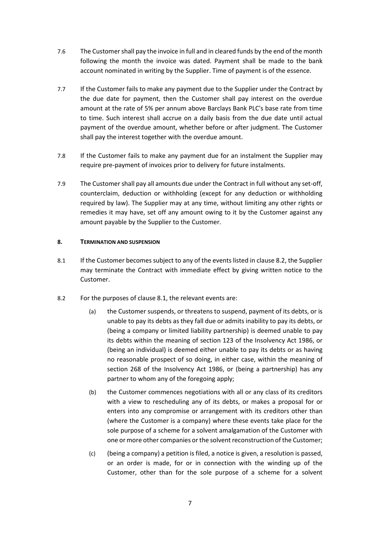- 7.6 The Customer shall pay the invoice in full and in cleared funds by the end of the month following the month the invoice was dated. Payment shall be made to the bank account nominated in writing by the Supplier. Time of payment is of the essence.
- 7.7 If the Customer fails to make any payment due to the Supplier under the Contract by the due date for payment, then the Customer shall pay interest on the overdue amount at the rate of 5% per annum above Barclays Bank PLC's base rate from time to time. Such interest shall accrue on a daily basis from the due date until actual payment of the overdue amount, whether before or after judgment. The Customer shall pay the interest together with the overdue amount.
- 7.8 If the Customer fails to make any payment due for an instalment the Supplier may require pre-payment of invoices prior to delivery for future instalments.
- 7.9 The Customer shall pay all amounts due under the Contract in full without any set-off, counterclaim, deduction or withholding (except for any deduction or withholding required by law). The Supplier may at any time, without limiting any other rights or remedies it may have, set off any amount owing to it by the Customer against any amount payable by the Supplier to the Customer.

#### **8. TERMINATION AND SUSPENSION**

- 8.1 If the Customer becomes subject to any of the events listed in clause 8.2, the Supplier may terminate the Contract with immediate effect by giving written notice to the Customer.
- 8.2 For the purposes of clause 8.1, the relevant events are:
	- (a) the Customer suspends, or threatens to suspend, payment of its debts, or is unable to pay its debts as they fall due or admits inability to pay its debts, or (being a company or limited liability partnership) is deemed unable to pay its debts within the meaning of section 123 of the Insolvency Act 1986, or (being an individual) is deemed either unable to pay its debts or as having no reasonable prospect of so doing, in either case, within the meaning of section 268 of the Insolvency Act 1986, or (being a partnership) has any partner to whom any of the foregoing apply;
	- (b) the Customer commences negotiations with all or any class of its creditors with a view to rescheduling any of its debts, or makes a proposal for or enters into any compromise or arrangement with its creditors other than (where the Customer is a company) where these events take place for the sole purpose of a scheme for a solvent amalgamation of the Customer with one or more other companies or the solvent reconstruction of the Customer;
	- (c) (being a company) a petition is filed, a notice is given, a resolution is passed, or an order is made, for or in connection with the winding up of the Customer, other than for the sole purpose of a scheme for a solvent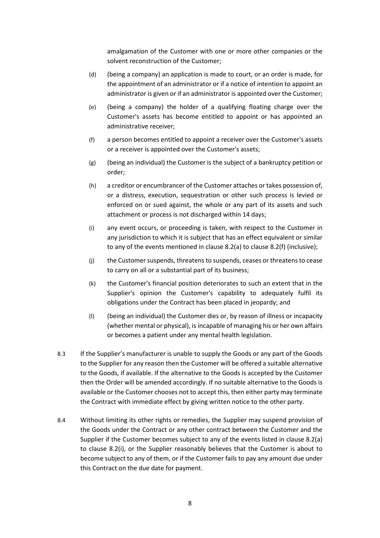amalgamation of the Customer with one or more other companies or the solvent reconstruction of the Customer;

- (d) (being a company) an application is made to court, or an order is made, for the appointment of an administrator or if a notice of intention to appoint an administrator is given or if an administrator is appointed over the Customer;
- (e) (being a company) the holder of a qualifying floating charge over the Customer's assets has become entitled to appoint or has appointed an administrative receiver;
- (f) a person becomes entitled to appoint a receiver over the Customer's assets or a receiver is appointed over the Customer's assets;
- (g) (being an individual) the Customer is the subject of a bankruptcy petition or order;
- (h) a creditor or encumbrancer of the Customer attaches or takes possession of, or a distress, execution, sequestration or other such process is levied or enforced on or sued against, the whole or any part of its assets and such attachment or process is not discharged within 14 days;
- (i) any event occurs, or proceeding is taken, with respect to the Customer in any jurisdiction to which it is subject that has an effect equivalent or similar to any of the events mentioned in clause 8.2(a) to clause 8.2(f) (inclusive);
- (j) the Customer suspends, threatens to suspends, ceases or threatens to cease to carry on all or a substantial part of its business;
- (k) the Customer's financial position deteriorates to such an extent that in the Supplier's opinion the Customer's capability to adequately fulfil its obligations under the Contract has been placed in jeopardy; and
- (l) (being an individual) the Customer dies or, by reason of illness or incapacity (whether mental or physical), is incapable of managing his or her own affairs or becomes a patient under any mental health legislation.
- 8.3 If the Supplier's manufacturer is unable to supply the Goods or any part of the Goods to the Supplier for any reason then the Customer will be offered a suitable alternative to the Goods, if available. If the alternative to the Goods is accepted by the Customer then the Order will be amended accordingly. If no suitable alternative to the Goods is available or the Customer chooses not to accept this, then either party may terminate the Contract with immediate effect by giving written notice to the other party.
- 8.4 Without limiting its other rights or remedies, the Supplier may suspend provision of the Goods under the Contract or any other contract between the Customer and the Supplier if the Customer becomes subject to any of the events listed in clause 8.2(a) to clause 8.2(i), or the Supplier reasonably believes that the Customer is about to become subject to any of them, or if the Customer fails to pay any amount due under this Contract on the due date for payment.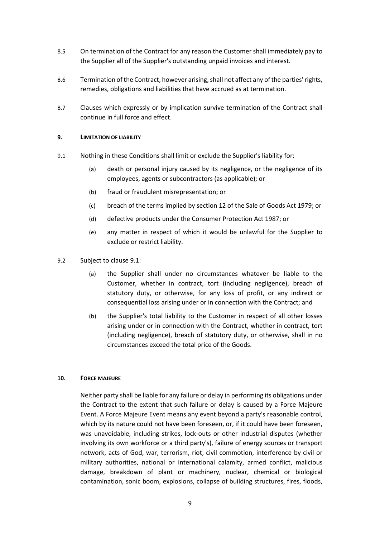- 8.5 On termination of the Contract for any reason the Customer shall immediately pay to the Supplier all of the Supplier's outstanding unpaid invoices and interest.
- 8.6 Termination of the Contract, however arising, shall not affect any of the parties' rights, remedies, obligations and liabilities that have accrued as at termination.
- 8.7 Clauses which expressly or by implication survive termination of the Contract shall continue in full force and effect.

#### **9. LIMITATION OF LIABILITY**

- 9.1 Nothing in these Conditions shall limit or exclude the Supplier's liability for:
	- (a) death or personal injury caused by its negligence, or the negligence of its employees, agents or subcontractors (as applicable); or
	- (b) fraud or fraudulent misrepresentation; or
	- (c) breach of the terms implied by section 12 of the Sale of Goods Act 1979; or
	- (d) defective products under the Consumer Protection Act 1987; or
	- (e) any matter in respect of which it would be unlawful for the Supplier to exclude or restrict liability.
- 9.2 Subject to clause 9.1:
	- (a) the Supplier shall under no circumstances whatever be liable to the Customer, whether in contract, tort (including negligence), breach of statutory duty, or otherwise, for any loss of profit, or any indirect or consequential loss arising under or in connection with the Contract; and
	- (b) the Supplier's total liability to the Customer in respect of all other losses arising under or in connection with the Contract, whether in contract, tort (including negligence), breach of statutory duty, or otherwise, shall in no circumstances exceed the total price of the Goods.

#### **10. FORCE MAJEURE**

Neither party shall be liable for any failure or delay in performing its obligations under the Contract to the extent that such failure or delay is caused by a Force Majeure Event. A Force Majeure Event means any event beyond a party's reasonable control, which by its nature could not have been foreseen, or, if it could have been foreseen, was unavoidable, including strikes, lock-outs or other industrial disputes (whether involving its own workforce or a third party's), failure of energy sources or transport network, acts of God, war, terrorism, riot, civil commotion, interference by civil or military authorities, national or international calamity, armed conflict, malicious damage, breakdown of plant or machinery, nuclear, chemical or biological contamination, sonic boom, explosions, collapse of building structures, fires, floods,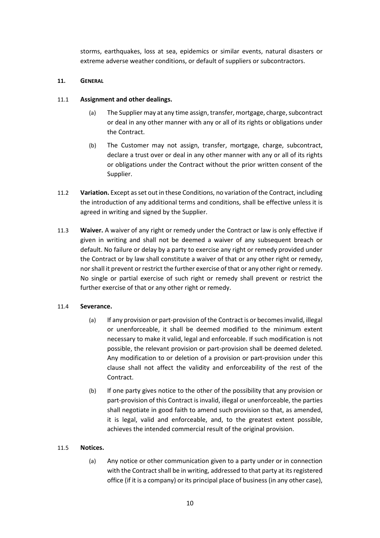storms, earthquakes, loss at sea, epidemics or similar events, natural disasters or extreme adverse weather conditions, or default of suppliers or subcontractors.

#### **11. GENERAL**

## 11.1 **Assignment and other dealings.**

- (a) The Supplier may at any time assign, transfer, mortgage, charge, subcontract or deal in any other manner with any or all of its rights or obligations under the Contract.
- (b) The Customer may not assign, transfer, mortgage, charge, subcontract, declare a trust over or deal in any other manner with any or all of its rights or obligations under the Contract without the prior written consent of the Supplier.
- 11.2 **Variation.** Except as set out in these Conditions, no variation of the Contract, including the introduction of any additional terms and conditions, shall be effective unless it is agreed in writing and signed by the Supplier.
- 11.3 **Waiver.** A waiver of any right or remedy under the Contract or law is only effective if given in writing and shall not be deemed a waiver of any subsequent breach or default. No failure or delay by a party to exercise any right or remedy provided under the Contract or by law shall constitute a waiver of that or any other right or remedy, nor shall it prevent or restrict the further exercise of that or any other right or remedy. No single or partial exercise of such right or remedy shall prevent or restrict the further exercise of that or any other right or remedy.

# 11.4 **Severance.**

- (a) If any provision or part-provision of the Contract is or becomes invalid, illegal or unenforceable, it shall be deemed modified to the minimum extent necessary to make it valid, legal and enforceable. If such modification is not possible, the relevant provision or part-provision shall be deemed deleted. Any modification to or deletion of a provision or part-provision under this clause shall not affect the validity and enforceability of the rest of the Contract.
- (b) If one party gives notice to the other of the possibility that any provision or part-provision of this Contract is invalid, illegal or unenforceable, the parties shall negotiate in good faith to amend such provision so that, as amended, it is legal, valid and enforceable, and, to the greatest extent possible, achieves the intended commercial result of the original provision.

#### 11.5 **Notices.**

(a) Any notice or other communication given to a party under or in connection with the Contract shall be in writing, addressed to that party at its registered office (if it is a company) or its principal place of business (in any other case),